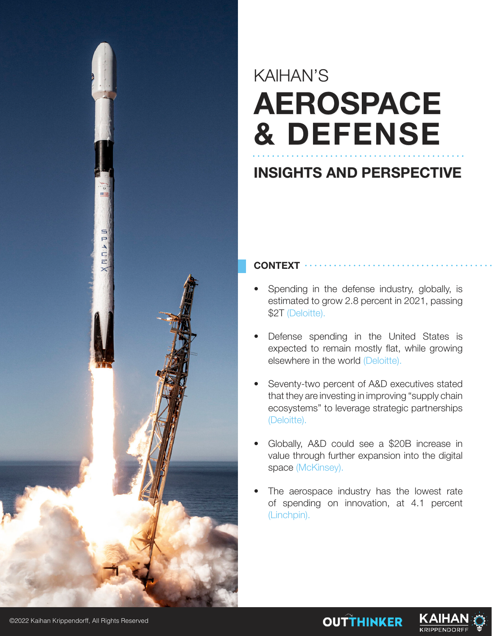

# KAIHAN'S **AEROSPACE & DEFENSE**

## **INSIGHTS AND PERSPECTIVE**

### **CONTEXT**

- Spending in the defense industry, globally, is estimated to grow 2.8 percent in 2021, passing \$2T (Deloitte).
- Defense spending in the United States is expected to remain mostly flat, while growing elsewhere in the world (Deloitte).
- Seventy-two percent of A&D executives stated that they are investing in improving "supply chain ecosystems" to leverage strategic partnerships (Deloitte).
- Globally, A&D could see a \$20B increase in value through further expansion into the digital space (McKinsey).
- The aerospace industry has the lowest rate of spending on innovation, at 4.1 percent (Linchpin).



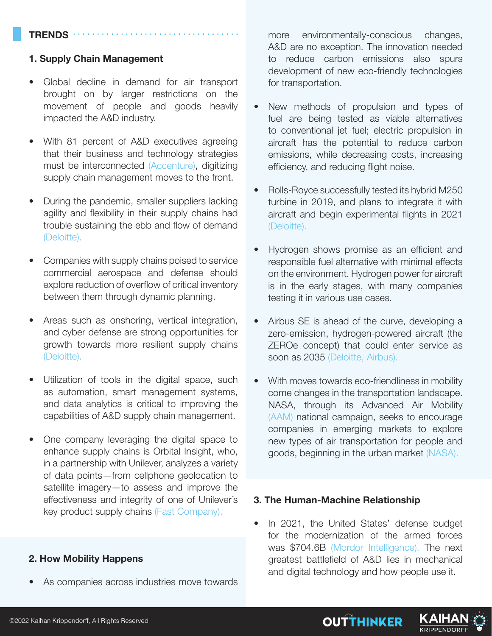#### **TRENDS**

#### **1. Supply Chain Management**

- Global decline in demand for air transport brought on by larger restrictions on the movement of people and goods heavily impacted the A&D industry.
- With 81 percent of A&D executives agreeing that their business and technology strategies must be interconnected (Accenture), digitizing supply chain management moves to the front.
- During the pandemic, smaller suppliers lacking agility and flexibility in their supply chains had trouble sustaining the ebb and flow of demand (Deloitte).
- Companies with supply chains poised to service commercial aerospace and defense should explore reduction of overflow of critical inventory between them through dynamic planning.
- Areas such as onshoring, vertical integration, and cyber defense are strong opportunities for growth towards more resilient supply chains (Deloitte).
- Utilization of tools in the digital space, such as automation, smart management systems, and data analytics is critical to improving the capabilities of A&D supply chain management.
- One company leveraging the digital space to enhance supply chains is Orbital Insight, who, in a partnership with Unilever, analyzes a variety of data points—from cellphone geolocation to satellite imagery—to assess and improve the effectiveness and integrity of one of Unilever's key product supply chains (Fast Company).

#### **2. How Mobility Happens**

As companies across industries move towards

more environmentally-conscious changes, A&D are no exception. The innovation needed to reduce carbon emissions also spurs development of new eco-friendly technologies for transportation.

- New methods of propulsion and types of fuel are being tested as viable alternatives to conventional jet fuel; electric propulsion in aircraft has the potential to reduce carbon emissions, while decreasing costs, increasing efficiency, and reducing flight noise.
- Rolls-Royce successfully tested its hybrid M250 turbine in 2019, and plans to integrate it with aircraft and begin experimental flights in 2021 (Deloitte).
- Hydrogen shows promise as an efficient and responsible fuel alternative with minimal effects on the environment. Hydrogen power for aircraft is in the early stages, with many companies testing it in various use cases.
- Airbus SE is ahead of the curve, developing a zero-emission, hydrogen-powered aircraft (the ZEROe concept) that could enter service as soon as 2035 (Deloitte, Airbus).
- With moves towards eco-friendliness in mobility come changes in the transportation landscape. NASA, through its Advanced Air Mobility (AAM) national campaign, seeks to encourage companies in emerging markets to explore new types of air transportation for people and goods, beginning in the urban market (NASA).

#### **3. The Human-Machine Relationship**

In 2021, the United States' defense budget for the modernization of the armed forces was \$704.6B (Mordor Intelligence). The next greatest battlefield of A&D lies in mechanical and digital technology and how people use it.

**OUTTHINKER** 

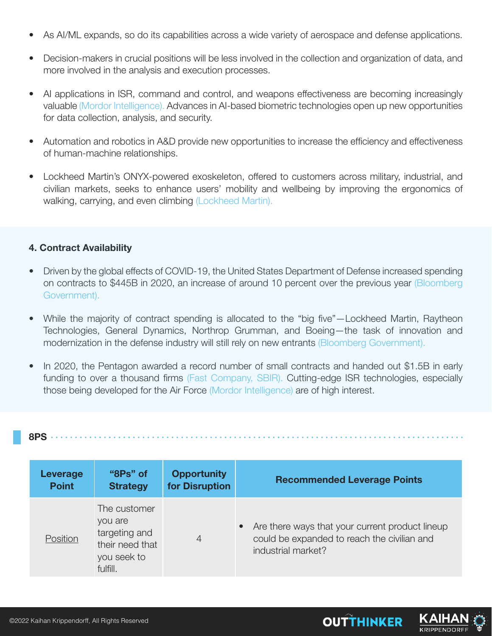- As AI/ML expands, so do its capabilities across a wide variety of aerospace and defense applications.
- Decision-makers in crucial positions will be less involved in the collection and organization of data, and more involved in the analysis and execution processes.
- AI applications in ISR, command and control, and weapons effectiveness are becoming increasingly valuable (Mordor Intelligence). Advances in AI-based biometric technologies open up new opportunities for data collection, analysis, and security.
- Automation and robotics in A&D provide new opportunities to increase the efficiency and effectiveness of human-machine relationships.
- Lockheed Martin's ONYX-powered exoskeleton, offered to customers across military, industrial, and civilian markets, seeks to enhance users' mobility and wellbeing by improving the ergonomics of walking, carrying, and even climbing (Lockheed Martin).

#### **4. Contract Availability**

- Driven by the global effects of COVID-19, the United States Department of Defense increased spending on contracts to \$445B in 2020, an increase of around 10 percent over the previous year (Bloomberg Government).
- While the majority of contract spending is allocated to the "big five"—Lockheed Martin, Raytheon Technologies, General Dynamics, Northrop Grumman, and Boeing—the task of innovation and modernization in the defense industry will still rely on new entrants (Bloomberg Government).
- In 2020, the Pentagon awarded a record number of small contracts and handed out \$1.5B in early funding to over a thousand firms (Fast Company, SBIR). Cutting-edge ISR technologies, especially those being developed for the Air Force (Mordor Intelligence) are of high interest.

|--|

| Leverage     | "8Ps" of                                                                               | <b>Opportunity</b> | <b>Recommended Leverage Points</b>                                                                                   |
|--------------|----------------------------------------------------------------------------------------|--------------------|----------------------------------------------------------------------------------------------------------------------|
| <b>Point</b> | <b>Strategy</b>                                                                        | for Disruption     |                                                                                                                      |
| Position     | The customer<br>you are<br>targeting and<br>their need that<br>you seek to<br>fulfill. | 4                  | Are there ways that your current product lineup<br>could be expanded to reach the civilian and<br>industrial market? |

**OUTTHINKER** 

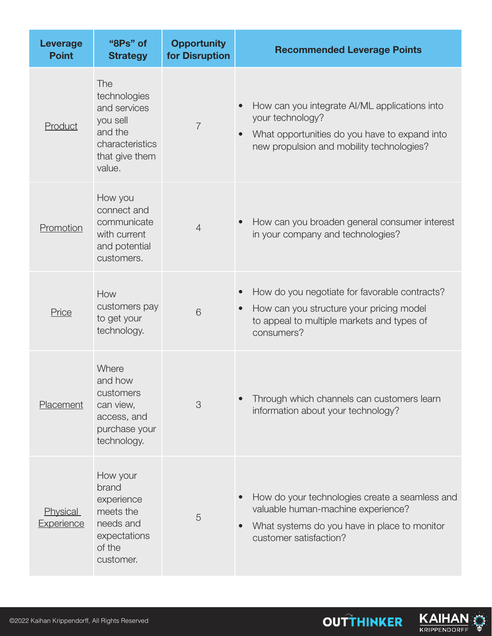| <b>Leverage</b><br><b>Point</b> | "8Ps" of<br><b>Strategy</b>                                                                               | <b>Opportunity</b><br>for Disruption | <b>Recommended Leverage Points</b>                                                                                                                                              |
|---------------------------------|-----------------------------------------------------------------------------------------------------------|--------------------------------------|---------------------------------------------------------------------------------------------------------------------------------------------------------------------------------|
| Product                         | The<br>technologies<br>and services<br>you sell<br>and the<br>characteristics<br>that give them<br>value. | $\overline{7}$                       | How can you integrate AI/ML applications into<br>your technology?<br>What opportunities do you have to expand into<br>new propulsion and mobility technologies?                 |
| Promotion                       | How you<br>connect and<br>communicate<br>with current<br>and potential<br>customers.                      | $\overline{4}$                       | How can you broaden general consumer interest<br>in your company and technologies?                                                                                              |
| Price                           | How<br>customers pay<br>to get your<br>technology.                                                        | 6                                    | How do you negotiate for favorable contracts?<br>$\bullet$<br>How can you structure your pricing model<br>$\bullet$<br>to appeal to multiple markets and types of<br>consumers? |
| Placement                       | Where<br>and how<br>customers<br>can view,<br>access, and<br>purchase your<br>technology.                 | 3                                    | Through which channels can customers learn<br>information about your technology?                                                                                                |
| <b>Physical</b><br>Experience   | How your<br>brand<br>experience<br>meets the<br>needs and<br>expectations<br>of the<br>customer.          | 5                                    | How do your technologies create a seamless and<br>valuable human-machine experience?<br>What systems do you have in place to monitor<br>$\bullet$<br>customer satisfaction?     |



**OUTTHINKER** 

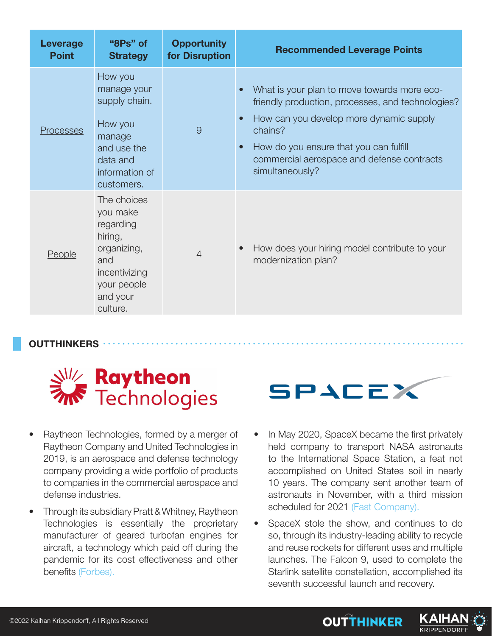| Leverage<br><b>Point</b> | "8Ps" of<br><b>Strategy</b>                                                                                                   | <b>Opportunity</b><br>for Disruption | <b>Recommended Leverage Points</b>                                                                                                                                                                                                                                                          |
|--------------------------|-------------------------------------------------------------------------------------------------------------------------------|--------------------------------------|---------------------------------------------------------------------------------------------------------------------------------------------------------------------------------------------------------------------------------------------------------------------------------------------|
| Processes                | How you<br>manage your<br>supply chain.<br>How you<br>manage<br>and use the<br>data and<br>information of<br>customers.       | 9                                    | What is your plan to move towards more eco-<br>friendly production, processes, and technologies?<br>How can you develop more dynamic supply<br>$\bullet$<br>chains?<br>How do you ensure that you can fulfill<br>$\bullet$<br>commercial aerospace and defense contracts<br>simultaneously? |
| <b>People</b>            | The choices<br>you make<br>regarding<br>hiring,<br>organizing,<br>and<br>incentivizing<br>your people<br>and your<br>culture. | $\overline{4}$                       | How does your hiring model contribute to your<br>modernization plan?                                                                                                                                                                                                                        |

**OUTTHINKERS**



- Raytheon Technologies, formed by a merger of Raytheon Company and United Technologies in 2019, is an aerospace and defense technology company providing a wide portfolio of products to companies in the commercial aerospace and defense industries.
- Through its subsidiary Pratt & Whitney, Raytheon Technologies is essentially the proprietary manufacturer of geared turbofan engines for aircraft, a technology which paid off during the pandemic for its cost effectiveness and other benefits (Forbes).



- In May 2020, SpaceX became the first privately held company to transport NASA astronauts to the International Space Station, a feat not accomplished on United States soil in nearly 10 years. The company sent another team of astronauts in November, with a third mission scheduled for 2021 (Fast Company).
- SpaceX stole the show, and continues to do so, through its industry-leading ability to recycle and reuse rockets for different uses and multiple launches. The Falcon 9, used to complete the Starlink satellite constellation, accomplished its seventh successful launch and recovery.

**OUTTHINKER** 

KAIHA

**KRIPPENDORFF**